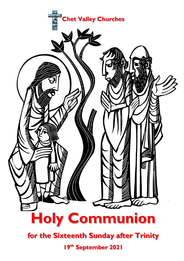

**Holy Communion**

**for the Sixteenth Sunday after Trinity**

**19th September 2021**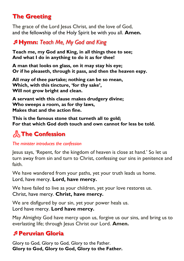### **The Greeting**

The grace of the Lord Jesus Christ, and the love of God, and the fellowship of the Holy Spirit be with you all. **Amen.**

#### **Hymn:** *Teach Me, My God and King*

**Teach me, my God and King, in all things thee to see; And what I do in anything to do it as for thee!**

**A man that looks on glass, on it may stay his eye; Or if he pleaseth, through it pass, and then the heaven espy.**

**All may of thee partake; nothing can be so mean, Which, with this tincture, 'for thy sake', Will not grow bright and clean.**

**A servant with this clause makes drudgery divine; Who sweeps a room, as for thy laws, Makes that and the action fine.**

**This is the famous stone that turneth all to gold; For that which God doth touch and own cannot for less be told.**

# **The Confession**

*The minister introduces the confession*

Jesus says, 'Repent, for the kingdom of heaven is close at hand.' So let us turn away from sin and turn to Christ, confessing our sins in penitence and faith.

We have wandered from your paths, yet your truth leads us home. Lord, have mercy. **Lord, have mercy.**

We have failed to live as your children, yet your love restores us. Christ, have mercy. **Christ, have mercy.**

We are disfigured by our sin, yet your power heals us. Lord have mercy. **Lord have mercy.**

May Almighty God have mercy upon us, forgive us our sins, and bring us to everlasting life; through Jesus Christ our Lord. Amen.

#### **Peruvian Gloria**

Glory to God, Glory to God, Glory to the Father. **Glory to God, Glory to God, Glory to the Father.**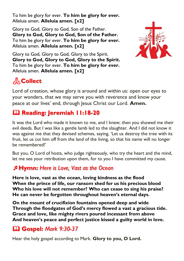To him be glory for ever. **To him be glory for ever.** Alleluia amen. **Alleluia amen. [x2]**

Glory to God, Glory to God, Son of the Father. **Glory to God, Glory to God, Son of the Father.** To him be glory for ever. **To him be glory for ever.** Alleluia amen. **Alleluia amen. [x2]**



Glory to God, Glory to God, Glory to the Spirit. **Glory to God, Glory to God, Glory to the Spirit.** To him be glory for ever. **To him be glory for ever.** Alleluia amen. **Alleluia amen. [x2]**

# **Collect**

Lord of creation, whose glory is around and within us: open our eyes to your wonders, that we may serve you with reverence and know your peace at our lives' end, through Jesus Christ our Lord. **Amen.** 

## **Reading: Jeremiah 11:18-20**

It was the Lord who made it known to me, and I knew; then you showed me their evil deeds. But I was like a gentle lamb led to the slaughter. And I did not know it was against me that they devised schemes, saying, 'Let us destroy the tree with its fruit, let us cut him off from the land of the living, so that his name will no longer be remembered!'

But you, O Lord of hosts, who judge righteously, who try the heart and the mind, let me see your retribution upon them, for to you I have committed my cause.

### **Hymn:** *Here is Love, Vast as the Ocean*

**Here is love, vast as the ocean, loving kindness as the flood When the prince of life, our ransom shed for us his precious blood Who his love will not remember? Who can cease to sing his praise? He can never be forgotten throughout heaven's eternal days.**

**On the mount of crucifixion fountains opened deep and wide Through the floodgates of God's mercy flowed a vast a gracious tide. Grace and love, like mighty rivers poured incessant from above And heaven's peace and perfect justice kissed a guilty world in love.**

## **Gospel:** *Mark 9:30-37*

Hear the holy gospel according to Mark. **Glory to you, O Lord.**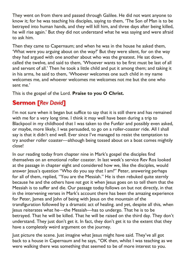They went on from there and passed through Galilee. He did not want anyone to know it; for he was teaching his disciples, saying to them, 'The Son of Man is to be betrayed into human hands, and they will kill him, and three days after being killed, he will rise again.' But they did not understand what he was saying and were afraid to ask him.

Then they came to Capernaum; and when he was in the house he asked them, 'What were you arguing about on the way?' But they were silent, for on the way they had argued with one another about who was the greatest. He sat down, called the twelve, and said to them, 'Whoever wants to be first must be last of all and servant of all.' Then he took a little child and put it among them; and taking it in his arms, he said to them, 'Whoever welcomes one such child in my name welcomes me, and whoever welcomes me welcomes not me but the one who sent me.'

This is the gospel of the Lord. **Praise to you O Christ.**

#### **Sermon [***Rev David***]**

I'm not sure when it began but suffice to say that it is still there and has remained with me for a very long time. I think it may well have been during a trip to Blackpool in my childhood that I was taken to the Funfair and possibly even asked, or maybe, more likely, I was persuaded, to go on a roller-coaster ride. All I shall say is that it didn't end well. Ever since I've managed to resist the temptation to try another roller coaster—although being tossed about on a boat comes mightily close!

In our reading today from chapter nine in Mark's gospel the disciples find themselves on an emotional roller coaster. In last week's service Rev Ros looked at the passage in chapter eight and considered how we, like the disciples, would answer lesus's question "Who do you say that I am?" Peter, answering perhaps for all of them, replied, "You are the Messiah." He is then rebuked quite sternly because he and the others have *not* got it when Jesus goes on to tell them that the Messiah is to suffer and die. Our passage today follows on but not directly, in that in the intervening verses in Mark's account there has been the amazing experience for Peter, James and John of being with Jesus on the mountain of the transfiguration followed by a dramatic act of healing. and yet, despite all this, when Jesus reiterates what he—the Messiah—has to undergo. That he is to be betrayed. That he will be killed. That he will be raised on the third day. They don't understand. They just don't get it. In fact, they don't get it to the extent that they have a completely weird argument on the journey.

Just picture the scene. Just imagine what Jesus might have said. They've all got back to a house in Capernaum and he says, "OK then, whilst I was teaching as we were walking there was something that seemed to be of more interest to you.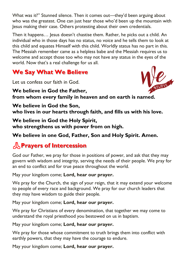What was it?" Stunned silence. Then it comes out—they'd been arguing about who was the greatest. One can just hear those who'd been up the mountain with Jesus making their case. Others protesting about their own credentials.

Then it happens… Jesus doesn't chastise them. Rather, he picks out a child. An individual who in those days has no status, no voice and he tells them to look at this child and equates Himself with this child. Worldly status has no part in this. The Messiah remember came as a helpless babe and the Messiah requires us to welcome and accept those too who may not have any status in the eyes of the world. Now that's a real challenge for us all.

#### **We Say What We Believe**

Let us confess our faith in God.



**We believe in God the Father, from whom every family in heaven and on earth is named.**

**We believe in God the Son, who lives in our hearts through faith, and fills us with his love.**

**We believe in God the Holy Spirit, who strengthens us with power from on high.**

**We believe in one God, Father, Son and Holy Spirit. Amen.**

## *A*Frayers of Intercession

God our Father, we pray for those in positions of power, and ask that they may govern with wisdom and integrity, serving the needs of their people. We pray for an end to conflict and for true peace throughout the world.

May your kingdom come; **Lord, hear our prayer.**

We pray for the Church, the sign of your reign, that it may extend your welcome to people of every race and background. We pray for our church leaders that they may have wisdom to guide their people.

May your kingdom come; **Lord, hear our prayer.**

We pray for Christians of every denomination, that together we may come to understand the royal priesthood you bestowed on us in baptism.

May your kingdom come; **Lord, hear our prayer.**

We pray for those whose commitment to truth brings them into conflict with earthly powers, that they may have the courage to endure.

May your kingdom come; **Lord, hear our prayer.**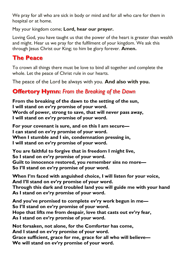We pray for all who are sick in body or mind and for all who care for them in hospital or at home.

May your kingdom come; **Lord, hear our prayer.**

Loving God, you have taught us that the power of the heart is greater than wealth and might. Hear us we pray for the fulfilment of your kingdom. We ask this through Jesus Christ our King; to him be glory forever. **Amen.** 

#### **The Peace**

To crown all things there must be love to bind all together and complete the whole. Let the peace of Christ rule in our hearts.

The peace of the Lord be always with you. **And also with you.**

#### **Offertory Hymn:** *From the Breaking of the Dawn*

**From the breaking of the dawn to the setting of the sun, I will stand on ev'ry promise of your word. Words of power, strong to save, that will never pass away, I will stand on ev'ry promise of your word.**

**For your covenant is sure, and on this I am secure— I can stand on ev'ry promise of your word. When I stumble and I sin, condemnation pressing in, I will stand on ev'ry promise of your word.**

**You are faithful to forgive that in freedom I might live, So I stand on ev'ry promise of your word. Guilt to innocence restored, you remember sins no more— So I'll stand on ev'ry promise of your word.**

**When I'm faced with anguished choice, I will listen for your voice, And I'll stand on ev'ry promise of your word. Through this dark and troubled land you will guide me with your hand As I stand on ev'ry promise of your word.**

**And you've promised to complete ev'ry work begun in me— So I'll stand on ev'ry promise of your word. Hope that lifts me from despair, love that casts out ev'ry fear, As I stand on ev'ry promise of your word.**

**Not forsaken, not alone, for the Comforter has come, And I stand on ev'ry promise of your word. Grace sufficient, grace for me, grace for all who will believe— We will stand on ev'ry promise of your word.**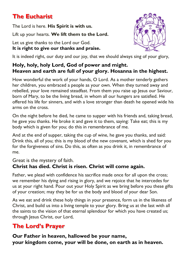### **The Eucharist**

The Lord is here. **His Spirit is with us.**

Lift up your hearts. **We lift them to the Lord.**

#### Let us give thanks to the Lord our God. **It is right to give our thanks and praise.**



#### **Holy, holy, holy Lord, God of power and might. Heaven and earth are full of your glory. Hosanna in the highest.**

How wonderful the work of your hands, O Lord. As a mother tenderly gathers her children, you embraced a people as your own. When they turned away and rebelled, your love remained steadfast. From them you raise up Jesus our Saviour, born of Mary, to be the living bread, in whom all our hungers are satisfied. He offered his life for sinners, and with a love stronger than death he opened wide his arms on the cross.

On the night before he died, he came to supper with his friends and, taking bread, he gave you thanks. He broke it and gave it to them, saying: Take eat; this is my body which is given for you; do this in remembrance of me.

And at the end of supper, taking the cup of wine, he gave you thanks, and said: Drink this, all of you; this is my blood of the new covenant, which is shed for you for the forgiveness of sins. Do this, as often as you drink it, in remembrance of me.

Great is the mystery of faith.

#### **Christ has died. Christ is risen. Christ will come again.**

Father, we plead with confidence his sacrifice made once for all upon the cross; we remember his dying and rising in glory, and we rejoice that he intercedes for us at your right hand. Pour out your Holy Spirit as we bring before you these gifts of your creation; may they be for us the body and blood of your dear Son.

As we eat and drink these holy things in your presence, form us in the likeness of Christ, and build us into a living temple to your glory. Bring us at the last with all the saints to the vision of that eternal splendour for which you have created us; through Jesus Christ, our Lord,

### **The Lord's Prayer**

**Our Father in heaven, hallowed be your name, your kingdom come, your will be done, on earth as in heaven.**